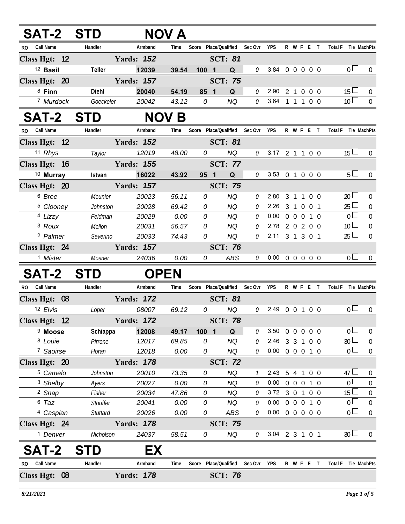| SAT-2 STD               |                 |                   | NOV A        |      |                               |              |                            |                   |                |                |            |                     |                 |                  |
|-------------------------|-----------------|-------------------|--------------|------|-------------------------------|--------------|----------------------------|-------------------|----------------|----------------|------------|---------------------|-----------------|------------------|
| Call Name<br>RO.        | Handler         | Armband           | Time         |      | Score Place/Qualified         | Sec Ovr      | <b>YPS</b>                 |                   |                |                | R W F E T  | Total F Tie MachPts |                 |                  |
| Class Hgt: 12           |                 | <b>Yards: 152</b> |              |      | <b>SCT: 81</b>                |              |                            |                   |                |                |            |                     |                 |                  |
| <sup>12</sup> Basil     | Teller          | 12039             | 39.54        | 1001 | Q                             | 0            | 3.84 0 0 0 0 0             |                   |                |                |            |                     | 0 <sub>0</sub>  | $\overline{0}$   |
| Class Hgt: 20           |                 | <b>Yards: 157</b> |              |      | <b>SCT: 75</b>                |              |                            |                   |                |                |            |                     |                 |                  |
| $8$ Finn                | Diehl           | 20040             | 54.19        | 85 1 | Q                             | 0            | 2.90 2 1 0 0 0             |                   |                |                |            |                     | $15 \Box$       | $\mathbf 0$      |
| 7 Murdock               | Goeckeler       | 20042             | 43.12        | 0    | NQ                            | 0            | 3.64 1 1 1 0 0             |                   |                |                |            |                     | 10 <sup>2</sup> | $\overline{0}$   |
| <b>SAT-2</b>            | <b>STD</b>      |                   | <b>NOV B</b> |      |                               |              |                            |                   |                |                |            |                     |                 |                  |
| <b>Call Name</b><br>RO. | Handler         | Armband           | Time         |      | Score Place/Qualified Sec Ovr |              | <b>YPS</b>                 |                   |                |                | R W F E T  | Total F Tie MachPts |                 |                  |
| Class Hgt: 12           |                 | <b>Yards: 152</b> |              |      | <b>SCT: 81</b>                |              |                            |                   |                |                |            |                     |                 |                  |
| 11 Rhys                 | Taylor          | 12019             | 48.00        | 0    | <b>NQ</b>                     | 0            | 3.17 2 1 1 0 0             |                   |                |                |            |                     | $15 \Box$       | $\Omega$         |
| Class Hgt: 16           |                 | <b>Yards: 155</b> |              |      | <b>SCT: 77</b>                |              |                            |                   |                |                |            |                     |                 |                  |
| <sup>10</sup> Murray    | Istvan          | 16022             | 43.92        | 95 1 | Q                             | 0            | 3.53 0 1 0 0 0             |                   |                |                |            |                     | 5 <sub>1</sub>  | $\overline{0}$   |
| Class Hgt: 20           |                 | <b>Yards: 157</b> |              |      | <b>SCT: 75</b>                |              |                            |                   |                |                |            |                     |                 |                  |
| <sup>6</sup> Bree       | Meunier         | 20023             | 56.11        | 0    | <b>NQ</b>                     | 0            | 2.80                       |                   |                |                | 3 1 1 0 0  |                     | $20 \Box$       | $\overline{0}$   |
| <sup>5</sup> Clooney    | Johnston        | 20028             | 69.42        | 0    | <b>NQ</b>                     | 0            | 2.26 3 1 0 0 1             |                   |                |                |            |                     | $25 -$          | $\boldsymbol{0}$ |
| 4 Lizzy                 | Feldman         | 20029             | 0.00         | 0    | <b>NQ</b>                     | 0            | $0.00 \t0 \t0 \t0 \t1 \t0$ |                   |                |                |            |                     | 0 <sub>0</sub>  | $\mathbf 0$      |
| <sup>3</sup> Roux       | Mellon          | 20031             | 56.57        | 0    | NQ                            | 0            | 2.78 2 0 2 0 0             |                   |                |                |            |                     | 10 <sup>1</sup> | $\boldsymbol{0}$ |
| <sup>2</sup> Palmer     | Severino        | 20033             | 74.43        | 0    | <b>NQ</b>                     | 0            | 2.11 3 1 3 0 1             |                   |                |                |            |                     | 25 <sup>1</sup> | $\mathbf 0$      |
| Class Hgt: 24           |                 | <b>Yards: 157</b> |              |      | <b>SCT: 76</b>                |              |                            |                   |                |                |            |                     |                 |                  |
| <sup>1</sup> Mister     | Mosner          | 24036             | 0.00         | 0    | ABS                           | $\mathcal O$ | $0.00 \t0 \t0 \t0 \t0 \t0$ |                   |                |                |            |                     | 0 <sub>l</sub>  | $\Omega$         |
| <b>SAT-2</b>            | <b>STD</b>      | <b>OPEN</b>       |              |      |                               |              |                            |                   |                |                |            |                     |                 |                  |
| RO Call Name            | Handler         | Armband           | Time         |      | Score Place/Qualified Sec Ovr |              | <b>YPS</b>                 |                   |                |                | R W F E T  | Total F Tie MachPts |                 |                  |
| Class Hgt: 08           |                 | <b>Yards: 172</b> |              |      | <b>SCT: 81</b>                |              |                            |                   |                |                |            |                     |                 |                  |
| 12 Elvis                | Loper           | 08007             | 69.12        | 0    | <b>NQ</b>                     | 0            | 2.49 0 0 1 0 0             |                   |                |                |            |                     | 0 <sub>0</sub>  | $\boldsymbol{0}$ |
| Class Hgt: 12           |                 | <b>Yards: 172</b> |              |      | <b>SCT: 78</b>                |              |                            |                   |                |                |            |                     |                 |                  |
| <sup>9</sup> Moose      | Schiappa        | 12008             | 49.17        | 100  | $\overline{\mathbf{1}}$<br>Q  | 0            | 3.50                       | $\overline{0}$    | $\overline{0}$ | $\overline{0}$ | $0\quad 0$ |                     | $\Omega$        | $\overline{0}$   |
| 8 Louie                 | Pirrone         | 12017             | 69.85        | 0    | <b>NQ</b>                     | 0            | 2.46 3 3 1 0 0             |                   |                |                |            |                     | 30 <sup>2</sup> | $\boldsymbol{0}$ |
| <sup>7</sup> Saoirse    | Horan           | 12018             | 0.00         | 0    | <b>NQ</b>                     | 0            | $0.00 \t0 \t0 \t0 \t1 \t0$ |                   |                |                |            |                     | 0 l             | $\mathbf 0$      |
| Class Hgt: 20           |                 | <b>Yards: 178</b> |              |      | <b>SCT: 72</b>                |              |                            |                   |                |                |            |                     |                 |                  |
| <sup>5</sup> Camelo     | Johnston        | 20010             | 73.35        | 0    | NQ                            |              | 2.43                       | 5                 | $\overline{4}$ | $\mathbf{1}$   | $0\quad 0$ |                     | 47 $\Box$       | 0                |
| 3 Shelby                | Ayers           | 20027             | 0.00         | 0    | <b>NQ</b>                     | 0            | 0.00                       | $0\quad 0\quad 0$ |                |                | $1\quad0$  |                     | 0 <sup>1</sup>  | $\mathbf 0$      |
| <sup>2</sup> Snap       | Fisher          | 20034             | 47.86        | 0    | <b>NQ</b>                     | 0            | 3.72 3 0 1 0 0             |                   |                |                |            |                     | 15              | $\boldsymbol{0}$ |
| 6 Taz                   | <b>Stouffer</b> | 20041             | 0.00         | 0    | <b>NQ</b>                     | 0            | $0.00 \t0 \t0 \t0 \t1 \t0$ |                   |                |                |            |                     | 0 <sup>1</sup>  | $\boldsymbol{0}$ |
| 4 Caspian               | Stuttard        | 20026             | 0.00         | 0    | ABS                           | 0            | $0.00 \t0 \t0 \t0 \t0 \t0$ |                   |                |                |            |                     | 0 <sub>0</sub>  | $\mathbf 0$      |
| Class Hgt: 24           |                 | <b>Yards: 178</b> |              |      | <b>SCT: 75</b>                |              |                            |                   |                |                |            |                     |                 |                  |
| <sup>1</sup> Denver     | Nicholson       | 24037             | 58.51        | 0    | NQ                            | 0            | 3.04 2 3 1 0 1             |                   |                |                |            |                     | 30 <sup>1</sup> | $\overline{0}$   |
| SAT-2                   | STD             | EX                |              |      |                               |              |                            |                   |                |                |            |                     |                 |                  |
| RO Call Name            | Handler         | Armband           | Time         |      | Score Place/Qualified         | Sec Ovr      | <b>YPS</b>                 |                   |                |                | R W F E T  | Total F Tie MachPts |                 |                  |
| Class Hgt: 08           |                 | <b>Yards: 178</b> |              |      | <b>SCT: 76</b>                |              |                            |                   |                |                |            |                     |                 |                  |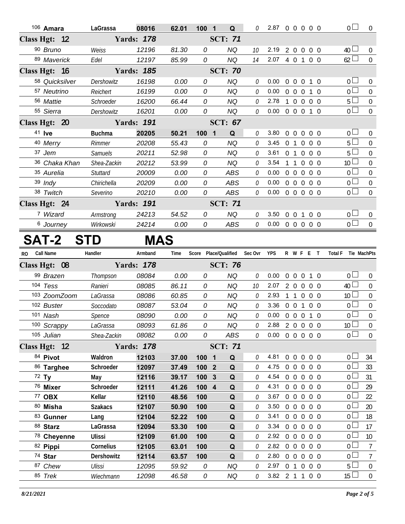|           | 106 Amara          | LaGrassa       | 08016             | 62.01 | 100 1                          | Q                     | 0            | 2.87 0 0 0 0 0             |                |                   |            | 0 <sub>0</sub>                | $\overline{0}$   |
|-----------|--------------------|----------------|-------------------|-------|--------------------------------|-----------------------|--------------|----------------------------|----------------|-------------------|------------|-------------------------------|------------------|
|           | Class Hgt: 12      |                | <b>Yards: 178</b> |       |                                | <b>SCT: 71</b>        |              |                            |                |                   |            |                               |                  |
|           | 90 Bruno           | Weiss          | 12196             | 81.30 | 0                              | <b>NQ</b>             | 10           | 2.19                       |                | 200               | $0\quad 0$ | $40\Box$                      | $\overline{0}$   |
|           | 89 Maverick        | Edel           | 12197             | 85.99 | 0                              | <b>NQ</b>             | 14           | 2.07                       |                | 4 0 1 0 0         |            | 62                            | $\mathbf 0$      |
|           | Class Hgt: 16      |                | <b>Yards: 185</b> |       |                                | <b>SCT: 70</b>        |              |                            |                |                   |            |                               |                  |
|           | 58 Quicksilver     | Dershowitz     | 16198             | 0.00  | 0                              | <b>NQ</b>             | 0            | 0.00                       | $0\quad 0$     | $\overline{0}$    | $1\quad0$  | 0 <sub>0</sub>                | $\overline{0}$   |
|           | 57 Neutrino        | Reichert       | 16199             | 0.00  | 0                              | <b>NQ</b>             | 0            | 0.00                       |                | 0 0 0 1 0         |            | $\overline{0}$                | $\boldsymbol{0}$ |
|           | 56 Mattie          | Schroeder      | 16200             | 66.44 | 0                              | <b>NQ</b>             | 0            | 2.78                       |                | 1 0 0 0 0         |            | $5\Box$                       | $\mathbf 0$      |
|           | 55 Sierra          | Dershowitz     | 16201             | 0.00  | 0                              | <b>NQ</b>             | 0            | 0.00                       |                | 0 0 0 1 0         |            | $\overline{0}$                | $\mathbf 0$      |
|           | Class Hgt: 20      |                | <b>Yards: 191</b> |       |                                | <b>SCT: 67</b>        |              |                            |                |                   |            |                               |                  |
|           | 41 <b>Ive</b>      | <b>Buchma</b>  | 20205             | 50.21 | 100<br>$\overline{\mathbf{1}}$ | Q                     | 0            | 3.80                       | $0\quad 0$     | $\overline{0}$    | $0\quad 0$ | 0 <sup>1</sup>                | $\overline{0}$   |
|           | 40 Merry           | Rimmer         | 20208             | 55.43 | 0                              | <b>NQ</b>             | 0            | 3.45                       | 0 <sub>1</sub> | $\overline{0}$    | $0\quad 0$ | 5 L                           | $\pmb{0}$        |
|           | 37 Jem             | <b>Samuels</b> | 20211             | 52.98 | 0                              | <b>NQ</b>             | 0            | 3.61                       | 0 <sub>1</sub> | $\overline{0}$    | $0\quad 0$ | $5 \Box$                      | $\mathbf 0$      |
|           | 36 Chaka Khan      | Shea-Zackin    | 20212             | 53.99 | 0                              | <b>NQ</b>             | 0            | 3.54                       | $1\quad1$      | $\overline{0}$    | $0\quad 0$ | 10 <sup>L</sup>               | $\mathbf 0$      |
|           | 35 Aurelia         | Stuttard       | 20009             | 0.00  | 0                              | <b>ABS</b>            | 0            | 0.00                       |                | $0\quad 0\quad 0$ | $0\quad 0$ | $\overline{0}$                | $\mathbf 0$      |
|           | 39 Indy            | Chirichella    | 20209             | 0.00  | 0                              | ABS                   | 0            | 0.00                       |                | $0\quad 0\quad 0$ | $0\quad 0$ | 0 <sup>1</sup>                | $\boldsymbol{0}$ |
|           | 38 Twitch          | Severino       | 20210             | 0.00  | 0                              | ABS                   | 0            | 0.00                       |                | 0 0 0 0 0         |            | $\overline{0}$                | $\overline{0}$   |
|           | Class Hgt: 24      |                | <b>Yards: 191</b> |       |                                | <b>SCT: 71</b>        |              |                            |                |                   |            |                               |                  |
|           | 7 Wizard           | Armstrong      | 24213             | 54.52 | 0                              | <b>NQ</b>             | $\mathcal O$ | 3.50                       |                | 0 0 1 0 0         |            | 0 <sub>0</sub>                | $\pmb{0}$        |
|           | 6 Journey          | Wirkowski      | 24214             | 0.00  | 0                              | ABS                   | 0            | $0.00 \t0 \t0 \t0 \t0 \t0$ |                |                   |            | $\overline{0}$                | $\mathbf 0$      |
|           | SAT-2              | <b>STD</b>     | <b>MAS</b>        |       |                                |                       |              |                            |                |                   |            |                               |                  |
|           |                    |                |                   |       |                                |                       |              |                            |                |                   |            |                               |                  |
| <b>RO</b> | Call Name          | Handler        | Armband           | Time  |                                | Score Place/Qualified | Sec Ovr      | <b>YPS</b>                 |                | R W F E T         |            | <b>Total F</b><br>Tie MachPts |                  |
|           | Class Hgt: 08      |                | <b>Yards: 178</b> |       |                                | <b>SCT: 76</b>        |              |                            |                |                   |            |                               |                  |
|           | 99 Brazen          | Thompson       | 08084             | 0.00  | 0                              | <b>NQ</b>             | 0            | 0.00                       |                | $0\quad 0\quad 0$ | $1\quad0$  | 0 <sub>0</sub>                | $\pmb{0}$        |
|           | 104 Tess           | Ranieri        | 08085             | 86.11 | 0                              | <b>NQ</b>             | 10           | 2.07                       |                | 200               | $0\quad 0$ | 40 <sup>1</sup>               | $\pmb{0}$        |
|           | 103 ZoomZoom       | LaGrassa       | 08086             | 60.85 | 0                              | <b>NQ</b>             | 0            | 2.93                       |                | 1 1 0 0 0         |            | 10 <sup>L</sup>               | $\boldsymbol{0}$ |
|           | 102 Buster         | Soccodato      | 08087             | 53.04 | 0                              | <b>NQ</b>             | 0            | 3.36                       |                | 0 0 1 0 0         |            | 0 <sub>0</sub>                | $\boldsymbol{0}$ |
|           | 101 Nash           | Spence         | 08090             | 0.00  | 0                              | <b>NQ</b>             | 0            | 0.00                       |                | 0 0 0 1 0         |            | $\overline{0}$                | $\mathbf 0$      |
|           | 100 Scrappy        | LaGrassa       | 08093             | 61.86 | 0                              | <b>NQ</b>             | 0            | 2.88                       |                | 2 0 0 0 0         |            | 10 <sup>L</sup>               | 0                |
|           | 105 Julian         | Shea-Zackin    | 08082             | 0.00  | 0                              | ABS                   | 0            | 0.00                       |                | 0 0 0 0 0         |            | $\overline{0}$                | $\mathbf 0$      |
|           | Class Hgt: 12      |                | <b>Yards: 178</b> |       |                                | <b>SCT: 71</b>        |              |                            |                |                   |            |                               |                  |
|           | 84 Pivot           | Waldron        | 12103             | 37.00 | 100 1                          | Q                     | 0            | 4.81                       |                | 00000             |            | 0 L                           | 34               |
|           | 86 Targhee         | Schroeder      | 12097             | 37.49 | 100 2                          | $\mathbf Q$           | 0            | 4.75                       |                | 0 0 0 0 0         |            | 0 <sub>0</sub>                | 33               |
|           | $72$ Ty            | May            | 12116             | 39.17 | 100 <sub>3</sub>               | Q                     | 0            | 4.54                       |                | $0\quad 0\quad 0$ | $0\quad 0$ | 0 l                           | 31               |
|           | 76 Mixer           | Schroeder      | 12111             | 41.26 | 100 4                          | Q                     | 0            | 4.31                       |                | $0\quad 0\quad 0$ | $0\quad 0$ | 0 <sub>0</sub>                | 29               |
|           | 77 OBX             | Kellar         | 12110             | 48.56 | 100                            | Q                     | 0            | 3.67                       |                | 00000             |            | 0 L                           | 22               |
|           | 80 Misha           | <b>Szakacs</b> | 12107             | 50.90 | 100                            | Q                     | 0            | 3.50                       |                | 0 0 0 0 0         |            | 0 <sub>0</sub>                | 20               |
|           | 83 Gunner          | Lang           | 12104             | 52.22 | 100                            | Q                     | 0            | 3.41                       |                | $0\quad 0\quad 0$ | $0\quad 0$ | 0 L                           | 18               |
|           | 88 Starz           | LaGrassa       | 12094             | 53.30 | 100                            | $\mathbf Q$           | 0            | 3.34                       |                | 0 0 0 0 0         |            | 0 <sub>0</sub>                | 17               |
|           | 78 Cheyenne        | <b>Ulissi</b>  | 12109             | 61.00 | 100                            | Q                     | 0            | 2.92                       |                | 00000             |            | $0\Box$                       | 10               |
|           | 82 Pippi           | Cornelius      | 12105             | 63.01 | 100                            | Q                     | 0            | 2.82                       |                | 0 0 0 0 0         |            | $\overline{0}$                | $\overline{7}$   |
|           | 74 Star            | Dershowitz     | 12114             | 63.57 | 100                            | Q                     | 0            | 2.80                       | $0\quad 0$     | $\overline{0}$    | $0\quad 0$ | 0 <sub>0</sub>                | $\overline{7}$   |
|           | 87 Chew<br>85 Trek | Ulissi         | 12095             | 59.92 | 0                              | <b>NQ</b>             | 0            | 2.97<br>3.82 2 1 1 0 0     |                | 0 1 0 0 0         |            | 5 <sub>1</sub><br>$15 \Box$   | $\overline{0}$   |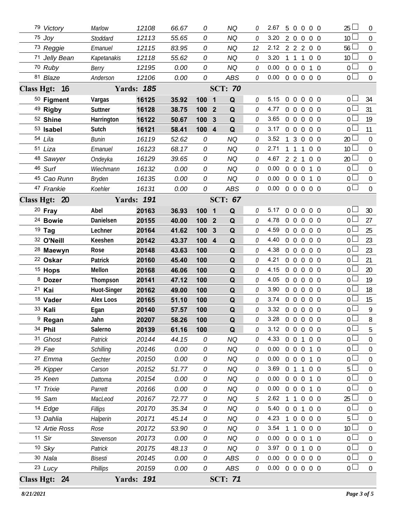| Class Hgt: 24                    |                  | <b>Yards: 191</b> |                |            |                         | <b>SCT: 71</b>     |        |                            |                |                   |                                  |                              |                               |                  |
|----------------------------------|------------------|-------------------|----------------|------------|-------------------------|--------------------|--------|----------------------------|----------------|-------------------|----------------------------------|------------------------------|-------------------------------|------------------|
| 23 Lucy                          | <b>Phillips</b>  | 20159             | 0.00           | 0          |                         | ABS                | 0      | 0.00                       |                |                   |                                  | 0 0 0 0 0                    | $\overline{0}$                | $\boldsymbol{0}$ |
| 30 Nala                          | <b>Bisesti</b>   | 20145             | 0.00           | 0          |                         | ABS                | 0      | 0.00                       | $0\quad 0$     |                   | $\overline{0}$                   | $0\quad 0$                   | 0 <sup>1</sup>                | $\mathbf 0$      |
| $10$ Sky                         | Patrick          | 20175             | 48.13          | 0          |                         | <b>NQ</b>          | 0      | 3.97                       | $0\quad 0$     |                   | $\mathbf{1}$                     | $0\quad 0$                   | 0 <sub>0</sub>                | $\boldsymbol{0}$ |
| $11$ Sir                         | Stevenson        | 20173             | 0.00           | 0          |                         | <b>NQ</b>          | 0      | 0.00                       | $0\quad 0$     |                   | $\overline{0}$                   | $1\quad0$                    | $\overline{0}$                | $\mathbf 0$      |
| 12 Artie Ross                    | Rose             | 20172             | 53.90          | 0          |                         | <b>NQ</b>          | 0      | 3.54                       |                | $\mathbf{1}$      |                                  | $0\quad 0\quad 0$            | 10 <sup>°</sup>               | $\boldsymbol{0}$ |
| 13 Dahlia                        | Halperin         | 20171             | 45.14          | 0          |                         | <b>NQ</b>          | 0      | 4.23                       | 1              | $\mathbf 0$       | $\overline{0}$                   | $0\quad 0$                   | 5                             | $\mathbf 0$      |
| 14 Edge                          | Fillips          | 20170             | 35.34          | 0          |                         | <b>NQ</b>          | 0      | 5.40                       | $0\quad 0$     |                   | $\mathbf{1}$                     | $0\quad 0$                   | $\overline{0}$                | $\boldsymbol{0}$ |
| 16 Sam                           | MacLeod          | 20167             | 72.77          | 0          |                         | <b>NQ</b>          | 5      | 2.62                       | 1              | $\overline{1}$    |                                  | $0\quad 0\quad 0$            | 25                            | $\mathbf 0$      |
| 17 Trixie                        | Parrett          | 20166             | 0.00           | 0          |                         | <b>NQ</b>          | 0      | 0.00                       | $0\quad 0$     |                   |                                  | $0$ 1 $0$                    | $\overline{0}$                | $\mathbf 0$      |
| 25 Keen                          | Dattoma          | 20154             | 0.00           | 0          |                         | NQ                 | 0      | 0.00                       | $0\quad 0$     |                   |                                  | $0$ 1 $0$                    | $\overline{0}$                | $\mathbf 0$      |
| 26 Kipper                        | Carson           | 20152             | 51.77          | 0          |                         | <b>NQ</b>          | 0      | 3.69                       |                |                   |                                  | 0 1 1 0 0                    | 5                             | $\mathbf 0$      |
| 27 Emma                          | Gechter          | 20150             | 0.00           | 0          |                         | <b>NQ</b>          | 0      | 0.00                       | $0\quad 0$     |                   |                                  | $0$ 1 $0$                    | $\overline{0}$                | $\mathbf 0$      |
| $29$ Fae                         | Schilling        | 20146             | 0.00           | 0          |                         | NQ                 | 0      | 0.00                       |                |                   |                                  | 0 0 0 1 0                    | $\overline{0}$                | $\mathbf 0$      |
| 31 Ghost                         | Patrick          | 20144             | 44.15          | 0          |                         | NQ                 | 0      | 4.33 0 0 1 0 0             |                |                   |                                  |                              | $\mathbf 0$                   | $\mathbf 0$      |
| 34 Phil                          | Salerno          | 20139             | 61.16          | 100        |                         | Q                  |        | 3.12                       |                |                   |                                  | 0 0 0 0 0                    | $\overline{0}$                | 5                |
| $9$ Regan                        | Jahn             | 20207             | 58.26          | 100        |                         | $\pmb{\mathsf{Q}}$ | 0      | 3.28 0 0 0 0 0             |                |                   |                                  |                              | $\overline{0}$                | 8                |
| 33 Kali                          | Egan             | 20140             | 57.57          | 100        |                         | $\mathbf Q$        | 0      | 3.32                       |                |                   |                                  | 0 0 0 0 0                    | $\overline{0}$                | 9                |
| 18 Vader                         | <b>Alex Loos</b> | 20165             | 51.10          | 100        |                         | Q                  | 0      | 3.74                       | $0\quad 0$     |                   | $\mathbf 0$                      | $0\quad 0$                   | 0 <sup>1</sup>                | 15               |
| 21 Kai                           | Huot-Singer      | 20162             | 49.00          | 100        |                         | Q                  | 0      | 3.90                       |                | $0\quad 0\quad 0$ |                                  | 0 <sub>0</sub>               | 0 l                           | 18               |
| $15$ Hops<br>8 Dozer             | Thompson         | 20168<br>20141    | 46.06<br>47.12 | 100<br>100 |                         | Q<br>Q             | 0      | 4.05                       | $0\quad 0$     |                   | $\overline{0}$                   | $0\quad 0$                   | 0 <sup>1</sup>                | 19               |
|                                  | Mellon           |                   | 45.40          |            |                         |                    | 0      | 4.15                       |                |                   |                                  | 00000                        | $\overline{0}$                | 20               |
| 28 Maewyn<br><sup>22</sup> Oskar | Rose<br>Patrick  | 20148<br>20160    | 43.63          | 100<br>100 |                         | Q<br>Q             | 0<br>0 | 4.21                       | $0\quad 0$     | $0\quad 0$        | $\overline{0}$<br>$\overline{0}$ | 0 <sub>0</sub><br>$0\quad 0$ | 0 <sup>1</sup>                | 21               |
| 32 O'Neill                       | Keeshen          | 20142             | 43.37          | 100 4      |                         | Q                  | 0      | 4.38                       | $0\quad 0$     |                   | $\overline{0}$                   | $0\quad 0$                   | $\mathbf 0$<br>$\overline{0}$ | 23<br>23         |
| $19$ Tag                         | Lechner          | 20164             | 41.62          | 100        | $\mathbf{3}$            | Q                  | 0      | 4.59<br>4.40               |                |                   |                                  | 00000                        | $\overline{0}$                | 25               |
| <sup>24</sup> Bowie              | Danielsen        | 20155             | 40.00          | 100        | $\overline{2}$          | Q                  | 0      | 4.78                       | $0\quad 0$     |                   |                                  | $0\quad 0\quad 0$            | $\overline{0}$                | 27               |
| $20$ Fray                        | Abel             | 20163             | 36.93          | 100 1      |                         | Q                  | 0      | 5.17                       | $0\quad 0$     |                   |                                  | $0\quad 0\quad 0$            | 0 <sup>1</sup>                | 30               |
| Class Hgt: 20                    |                  | <b>Yards: 191</b> |                |            |                         | <b>SCT: 67</b>     |        |                            |                |                   |                                  |                              |                               |                  |
| 47 Frankie                       | Koehler          | 16131             | 0.00           | 0          |                         | <b>ABS</b>         | 0      | $0.00 \t0 \t0 \t0 \t0 \t0$ |                |                   |                                  |                              | 0 <sup>2</sup>                | $\overline{0}$   |
| 45 Cao Runn                      | Bryden           | 16135             | 0.00           | 0          |                         | <b>NQ</b>          | 0      | 0.00                       |                | $0\quad 0\quad 0$ |                                  | 1 0                          | 0 <sub>0</sub>                | $\boldsymbol{0}$ |
| 46 Surf                          | Wiechmann        | 16132             | 0.00           | 0          |                         | <b>NQ</b>          | O      | 0.00                       |                | $0\quad 0\quad 0$ |                                  | $1\quad 0$                   | $\overline{0}$                | $\mathbf 0$      |
| 48 Sawyer                        | Ondeyka          | 16129             | 39.65          | 0          |                         | NQ                 | 0      | 4.67                       |                | $2 \t2 \t1$       |                                  | 0 <sub>0</sub>               | 20                            | $\mathbf 0$      |
| 51 Liza                          | Emanuel          | 16123             | 68.17          | 0          |                         | <b>NQ</b>          | 0      | 2.71                       | $\mathbf{1}$   | $\overline{1}$    | $\mathbf{1}$                     | $0\quad 0$                   | 10 <sup>°</sup>               | $\mathbf 0$      |
| 54 Lila                          | <b>Bunin</b>     | 16119             | 52.62          | 0          |                         | ΝQ                 | 0      | 3.52                       | $\mathbf{1}$   |                   |                                  | 3 0 0 0                      | 20 <sup>1</sup>               | $\overline{0}$   |
| 53 Isabel                        | Sutch            | 16121             | 58.41          | 100 4      |                         | Q                  | O      | 3.17                       |                | $0\quad 0\quad 0$ |                                  | $0\quad 0$                   | $\overline{0}$                | 11               |
| 52 Shine                         | Harrington       | 16122             | 50.67          | 100        | $\mathbf{3}$            | Q                  | 0      | 3.65                       |                |                   |                                  | 00000                        | $\overline{0}$                | 19               |
| 49 Rigby                         | Suttner          | 16128             | 38.75          | 100        | $\overline{\mathbf{2}}$ | Q                  | 0      | 4.77                       |                |                   |                                  | 00000                        | 0 <sup>1</sup>                | 31               |
| 50 Figment                       | Vargas           | 16125             | 35.92          | 1001       |                         | Q                  | 0      | 5.15                       | $\overline{0}$ | $\overline{0}$    |                                  | $0\quad 0\quad 0$            | 0 <sup>1</sup>                | 34               |
| Class Hgt: 16                    |                  | <b>Yards: 185</b> |                |            |                         | <b>SCT: 70</b>     |        |                            |                |                   |                                  |                              |                               |                  |
| 81 Blaze                         | Anderson         | 12106             | 0.00           | 0          |                         | <b>ABS</b>         | 0      | $0.00 \t0 \t0 \t0 \t0 \t0$ |                |                   |                                  |                              | 0 <sup>2</sup>                | $\overline{0}$   |
| 70 Ruby                          | Berry            | 12195             | 0.00           | 0          |                         | <b>NQ</b>          | 0      | 0.00                       |                | $0\quad 0\quad 0$ |                                  | 1 0                          | 0 <sup>1</sup>                | $\boldsymbol{0}$ |
| 71 Jelly Bean                    | Kapetanakis      | 12118             | 55.62          | 0          |                         | <b>NQ</b>          | 0      | 3.20                       | 1 1            |                   | $\mathbf{1}$                     | $0\quad 0$                   | 10 <sup>°</sup>               | $\mathbf 0$      |
| 73 Reggie                        | Emanuel          | 12115             | 83.95          | 0          |                         | ΝQ                 | 12     | 2.12                       |                |                   |                                  | 2 2 2 0 0                    | 56                            | $\mathbf 0$      |
| 75 Joy                           | Stoddard         | 12113             | 55.65          | 0          |                         | NQ                 | O      | 3.20                       |                |                   |                                  | 2 0 0 0 0                    | 10 <sup>°</sup>               | $\overline{0}$   |
| 79 Victory                       | Marlow           | 12108             | 66.67          | 0          |                         | <b>NQ</b>          |        | 2.67                       | 5              |                   |                                  | $0\quad 0\quad 0\quad 0$     | 25                            | $\overline{0}$   |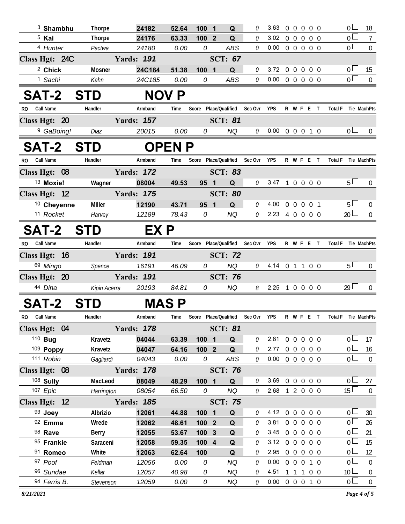| $3$ Shambhu                   | <b>Thorpe</b>     | 24182             | 52.64          | 100 1                     | Q              | 0       | 3.63                               |  | 00000                  |              | 0 <sub>0</sub>                    | 18             |
|-------------------------------|-------------------|-------------------|----------------|---------------------------|----------------|---------|------------------------------------|--|------------------------|--------------|-----------------------------------|----------------|
| <sup>5</sup> Kai              | <b>Thorpe</b>     | 24176             | 63.33          | 100 2                     | Q              | 0       | 3.02                               |  | 0 0 0 0 0              |              | $\overline{0}$                    | $\overline{7}$ |
| 4 Hunter                      | Pactwa            | 24180             | 0.00           | 0                         | <b>ABS</b>     | 0       | 0.00                               |  | 00000                  |              | $\overline{0}$                    | $\overline{0}$ |
| Class Hgt: 24C                |                   | <b>Yards: 191</b> |                |                           | <b>SCT: 67</b> |         |                                    |  |                        |              |                                   |                |
| <sup>2</sup> Chick            | Mosner            | 24C184            | 51.38          | 100 1                     | Q              | 0       | 3.72 0 0 0 0 0                     |  |                        |              | 0 <sub>0</sub>                    | -15            |
| <sup>1</sup> Sachi            | Kahn              | 24C185            | 0.00           | 0                         | ABS            | 0       | 0.00                               |  | 0 0 0 0 0              |              | 0 <sup>1</sup>                    | $\overline{0}$ |
| <b>SAT-2</b>                  | <b>STD</b>        | <b>NOV P</b>      |                |                           |                |         |                                    |  |                        |              |                                   |                |
| <b>Call Name</b><br>RO.       | Handler           | Armband           | Time           | Score Place/Qualified     |                | Sec Ovr | <b>YPS</b>                         |  | R W F E T              |              | <b>Total F</b><br>Tie MachPts     |                |
| Class Hgt: 20                 |                   | <b>Yards: 157</b> |                |                           | <b>SCT: 81</b> |         |                                    |  |                        |              |                                   |                |
| <sup>9</sup> GaBoing!         | Diaz              | 20015             | 0.00           | 0                         | <b>NQ</b>      | 0       | $0.00 \t0 \t0 \t0 \t1 \t0$         |  |                        |              | 0 <sub>1</sub>                    | $\overline{0}$ |
| <b>SAT-2</b>                  | <b>STD</b>        |                   | <b>OPENP</b>   |                           |                |         |                                    |  |                        |              |                                   |                |
| Call Name<br>RO.              | Handler           | Armband           | Time           | Score Place/Qualified     |                | Sec Ovr | <b>YPS</b>                         |  | R W F E T              |              | <b>Total F</b><br>Tie MachPts     |                |
| Class Hgt: 08                 |                   | <b>Yards: 172</b> |                |                           | <b>SCT: 83</b> |         |                                    |  |                        |              |                                   |                |
| <sup>13</sup> Moxie!          | Wagner            | 08004             | 49.53          | 95 <sub>1</sub>           | Q              | 0       | 3.47 1 0 0 0 0                     |  |                        |              | 5 <sub>1</sub>                    | $\overline{0}$ |
| Class Hgt: 12                 |                   | <b>Yards: 175</b> |                |                           | <b>SCT: 80</b> |         |                                    |  |                        |              |                                   |                |
| <sup>10</sup> Cheyenne        | Miller            | 12190             | 43.71          | 95 1                      | Q              | 0       | 4.00                               |  | 0 0 0 0 1              |              | $5+$                              | $\overline{0}$ |
| 11 Rocket                     | Harvey            | 12189             | 78.43          | 0                         | NQ             | 0       | 2.23 4 0 0 0 0                     |  |                        |              | $20 \Box$                         | $\mathbf 0$    |
| <b>SAT-2</b>                  | <b>STD</b>        | EX P              |                |                           |                |         |                                    |  |                        |              |                                   |                |
| <b>Call Name</b><br><b>RO</b> | Handler           | Armband           | Time           | Score Place/Qualified     |                | Sec Ovr | <b>YPS</b>                         |  | R W F E T              |              | <b>Total F</b><br>Tie MachPts     |                |
| Class Hgt: 16                 |                   | <b>Yards: 191</b> |                |                           | <b>SCT: 72</b> |         |                                    |  |                        |              |                                   |                |
| 69 Mingo                      | Spence            | 16191             | 46.09          | 0                         | NQ             | 0       | 4.14 0 1 1 0 0                     |  |                        |              | 5 <sub>1</sub>                    | $\overline{0}$ |
| Class Hgt: 20                 |                   | <b>Yards: 191</b> |                |                           | <b>SCT: 76</b> |         |                                    |  |                        |              |                                   |                |
| 44 Dina                       | Kipin Acerra      | 20193             | 84.81          | 0                         | NQ             |         | $8$ 2.25 1 0 0 0 0                 |  |                        |              | $29$ $\Box$                       | $\overline{0}$ |
| SAT-2                         | <b>STD</b>        |                   | <b>MAS P</b>   |                           |                |         |                                    |  |                        |              |                                   |                |
| RO Call Name                  | Handler           | Armband           | Time           | Score Place/Qualified     |                | Sec Ovr | YPS                                |  | R W F E                | $\mathsf{T}$ | Total F Tie MachPts               |                |
| Class Hgt: 04                 |                   | <b>Yards: 178</b> |                |                           | <b>SCT: 81</b> |         |                                    |  |                        |              |                                   |                |
| 110 <b>Bug</b>                | Kravetz           | 04044             | 63.39          | 100 1                     | Q              | 0       | 2.81                               |  | 0 0 0 0 0              |              | $0-$                              | 17             |
| 109 Poppy                     | Kravetz           | 04047             | 64.16          | 100 2                     | Q              | 0       | 2.77                               |  | 0 0 0 0 0              |              | 0 <sup>1</sup>                    | 16             |
| 111 Robin                     | Gagliardi         | 04043             | 0.00           | 0                         | ABS            | 0       | 0.00                               |  | 0 0 0 0 0              |              | 0 <sub>0</sub>                    | $\overline{0}$ |
| Class Hgt: 08                 |                   | <b>Yards: 178</b> |                |                           | <b>SCT: 76</b> |         |                                    |  |                        |              |                                   |                |
| 108 Sully                     | MacLeod           | 08049             | 48.29          | 100 1                     | Q              | 0       | 3.69                               |  | 0 0 0 0 0              |              | 0 <sub>0</sub>                    | 27             |
| 107 Epic                      | Harrington        | 08054             | 66.50          | 0                         | NQ             | 0       | 2.68 1 2 0 0 0                     |  |                        |              | $15 \Box$                         | $\mathbf{0}$   |
| Class Hgt: 12                 |                   | <b>Yards: 185</b> |                |                           | <b>SCT: 75</b> |         |                                    |  |                        |              |                                   |                |
| 93 Joey<br>92 Emma            | Albrizio          | 12061             | 44.88          | 100 1<br>100 <sub>2</sub> | Q              | 0<br>0  | 4.12 0 0 0 0 0<br>3.81             |  | 0 0 0 0 0              |              | $0-$<br>0 <sup>1</sup>            | 30<br>26       |
| 98 Rave                       |                   |                   |                |                           |                |         |                                    |  |                        |              |                                   |                |
|                               | Wrede             | 12062             | 48.61          |                           | $\mathbf Q$    |         |                                    |  |                        |              |                                   |                |
|                               | Berry             | 12055             | 53.67          | 100 3                     | Q              | 0<br>0  | 3.45<br>3.12                       |  | 0 0 0 0 0              |              | 0 L<br>0 <sup>1</sup>             | 21             |
| 95 Frankie<br>91 Romeo        | Saraceni<br>White | 12058<br>12063    | 59.35<br>62.64 | 100 4<br>100              | Q<br>Q         | 0       | 2.95                               |  | 0 0 0 0 0<br>0 0 0 0 0 |              | $0 -$                             | 15<br>12       |
| 97 Poof                       | Feldman           | 12056             | 0.00           | 0                         | <b>NQ</b>      | 0       | 0.00                               |  | 0 0 0 1 0              |              | 0 <sup>1</sup>                    | $\overline{0}$ |
| 96 Sundae<br>94 Ferris B.     | Kellar            | 12057             | 40.98          | 0                         | <b>NQ</b>      | 0       | 4.51<br>$0.00 \t0 \t0 \t0 \t1 \t0$ |  | 1 1 1 0 0              |              | 10 <sup>1</sup><br>0 <sub>0</sub> | $\pmb{0}$      |